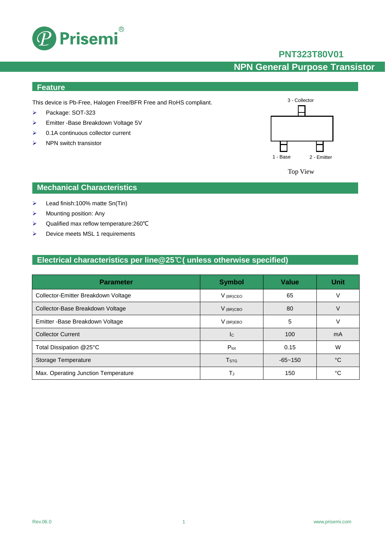

## **PNT323T80V01**

## **NPN General Purpose Transistor**

### **Feature**

This device is Pb-Free, Halogen Free/BFR Free and RoHS compliant.

- Package: SOT-323
- Emitter -Base Breakdown Voltage 5V
- $\geq$  0.1A continuous collector current
- $\triangleright$  NPN switch transistor



Top View

### **Mechanical Characteristics**

- $\triangleright$  Lead finish:100% matte Sn(Tin)
- $\triangleright$  Mounting position: Any
- Qualified max reflow temperature:260℃
- $\triangleright$  Device meets MSL 1 requirements

## **Electrical characteristics per line@25**℃**( unless otherwise specified)**

| <b>Parameter</b>                    | <b>Symbol</b>           | <b>Value</b> | <b>Unit</b> |
|-------------------------------------|-------------------------|--------------|-------------|
| Collector-Emitter Breakdown Voltage | $V_{(BR)CEO}$           | 65           | V           |
| Collector-Base Breakdown Voltage    | $V_{(BR)CBO}$           | 80           | V           |
| Emitter - Base Breakdown Voltage    | $V_{(BR)EBO}$           | 5            | v           |
| <b>Collector Current</b>            | <b>I</b> c              | 100          | mA          |
| Total Dissipation @25°C             | $P_{\text{tot}}$        | 0.15         | W           |
| Storage Temperature                 | <b>T</b> <sub>STG</sub> | $-65 - 150$  | °C          |
| Max. Operating Junction Temperature | T,                      | 150          | °C          |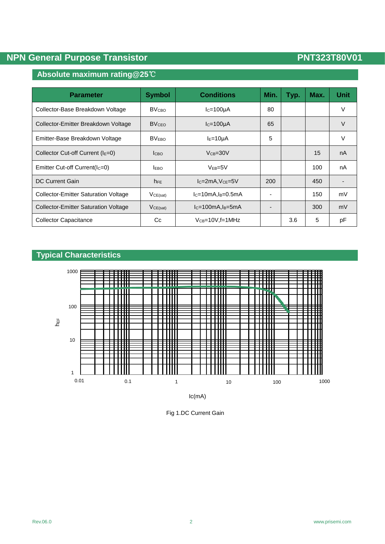## **NPN General Purpose Transistor PNT323T80V01**

## **Absolute maximum rating@25**℃

| <b>Parameter</b>                            | <b>Symbol</b>            | <b>Conditions</b>       | Min. | Typ. | Max. | <b>Unit</b> |
|---------------------------------------------|--------------------------|-------------------------|------|------|------|-------------|
| Collector-Base Breakdown Voltage            | <b>BV</b> <sub>CвО</sub> | $lc = 100 \mu A$        | 80   |      |      | V           |
| Collector-Emitter Breakdown Voltage         | <b>BVCEO</b>             | $lc=100\mu A$           | 65   |      |      | V           |
| Emitter-Base Breakdown Voltage              | <b>BVEBO</b>             | $IE=10\mu A$            | 5    |      |      | V           |
| Collector Cut-off Current $(IE=0)$          | <b>I</b> сво             | $V_{CB} = 30V$          |      |      | 15   | nA          |
| Emitter Cut-off Current( $IC=0$ )           | <b>LEBO</b>              | $V_{EB} = 5V$           |      |      | 100  | nA          |
| <b>DC Current Gain</b>                      | $h_{FE}$                 | $lc = 2mA$ , $Vce = 5V$ | 200  |      | 450  |             |
| <b>Collector-Emitter Saturation Voltage</b> | $V_{CE(sat)}$            | $IC=10mA, IB=0.5mA$     |      |      | 150  | mV          |
| <b>Collector-Emitter Saturation Voltage</b> | VCE(sat)                 | $lc=100mA, l_B=5mA$     |      |      | 300  | mV          |
| <b>Collector Capacitance</b>                | Cc                       | $V_{CB} = 10V$ , f=1MHz |      | 3.6  | 5    | pF          |

# **Typical Characteristics**



Fig 1.DC Current Gain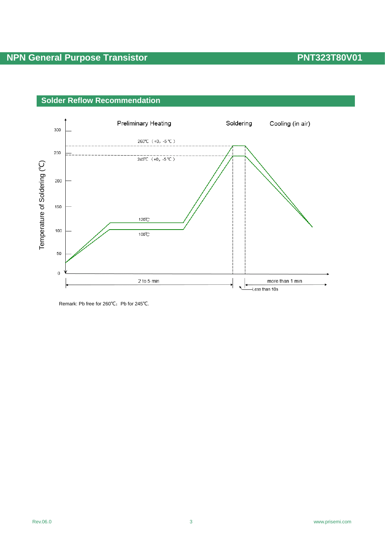

### **Solder Reflow Recommendation**

Remark: Pb free for 260°C; Pb for 245°C.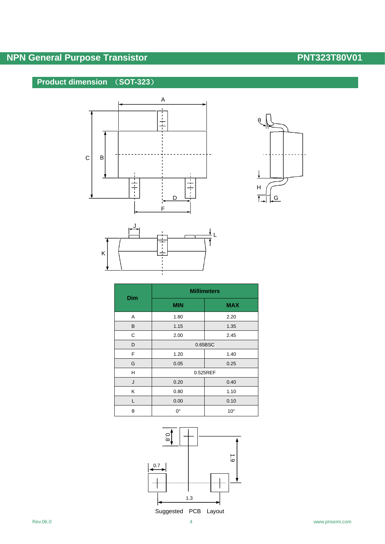# **NPN General Purpose Transistor PNT323T80V01**

## **Product dimension** (**SOT-323**)







| Dim | <b>Millimeters</b> |              |  |  |
|-----|--------------------|--------------|--|--|
|     | <b>MIN</b>         | <b>MAX</b>   |  |  |
| Α   | 1.80               | 2.20         |  |  |
| B   | 1.15               | 1.35         |  |  |
| С   | 2.00               | 2.45         |  |  |
| D   | 0.65BSC            |              |  |  |
| F   | 1.20               | 1.40         |  |  |
| G   | 0.05               | 0.25         |  |  |
| Н   | 0.525REF           |              |  |  |
| J   | 0.20               | 0.40         |  |  |
| Κ   | 0.80               | 1.10         |  |  |
| L   | 0.00               | 0.10         |  |  |
| θ   | 0°                 | $10^{\circ}$ |  |  |

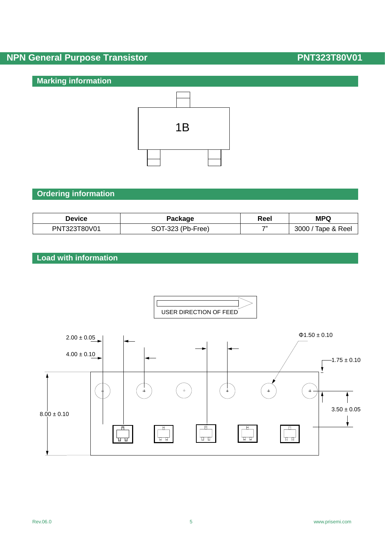# **NPN General Purpose Transistor PNT323T80V01**

## **Marking information**



## **Ordering information**

| <b>Device</b> | Package           | Reel  | <b>MPQ</b>         |
|---------------|-------------------|-------|--------------------|
| PNT323T80V01  | SOT-323 (Pb-Free) | $-11$ | 3000 / Tape & Reel |

## **Load with information**